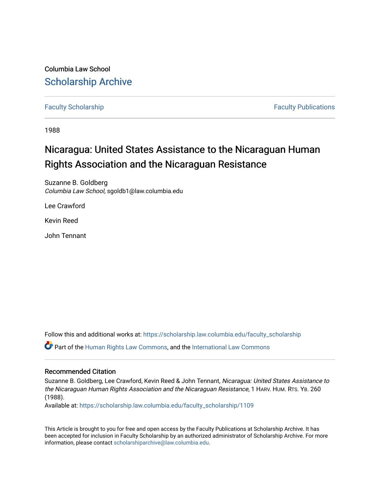Columbia Law School [Scholarship Archive](https://scholarship.law.columbia.edu/) 

[Faculty Scholarship](https://scholarship.law.columbia.edu/faculty_scholarship) **Faculty Scholarship Faculty Publications** 

1988

## Nicaragua: United States Assistance to the Nicaraguan Human Rights Association and the Nicaraguan Resistance

Suzanne B. Goldberg Columbia Law School, sgoldb1@law.columbia.edu

Lee Crawford

Kevin Reed

John Tennant

Follow this and additional works at: [https://scholarship.law.columbia.edu/faculty\\_scholarship](https://scholarship.law.columbia.edu/faculty_scholarship?utm_source=scholarship.law.columbia.edu%2Ffaculty_scholarship%2F1109&utm_medium=PDF&utm_campaign=PDFCoverPages)

Part of the [Human Rights Law Commons,](http://network.bepress.com/hgg/discipline/847?utm_source=scholarship.law.columbia.edu%2Ffaculty_scholarship%2F1109&utm_medium=PDF&utm_campaign=PDFCoverPages) and the [International Law Commons](http://network.bepress.com/hgg/discipline/609?utm_source=scholarship.law.columbia.edu%2Ffaculty_scholarship%2F1109&utm_medium=PDF&utm_campaign=PDFCoverPages) 

## Recommended Citation

Suzanne B. Goldberg, Lee Crawford, Kevin Reed & John Tennant, Nicaragua: United States Assistance to the Nicaraguan Human Rights Association and the Nicaraguan Resistance, 1 HARV. HUM. RTS. YB. 260 (1988).

Available at: [https://scholarship.law.columbia.edu/faculty\\_scholarship/1109](https://scholarship.law.columbia.edu/faculty_scholarship/1109?utm_source=scholarship.law.columbia.edu%2Ffaculty_scholarship%2F1109&utm_medium=PDF&utm_campaign=PDFCoverPages)

This Article is brought to you for free and open access by the Faculty Publications at Scholarship Archive. It has been accepted for inclusion in Faculty Scholarship by an authorized administrator of Scholarship Archive. For more information, please contact [scholarshiparchive@law.columbia.edu.](mailto:scholarshiparchive@law.columbia.edu)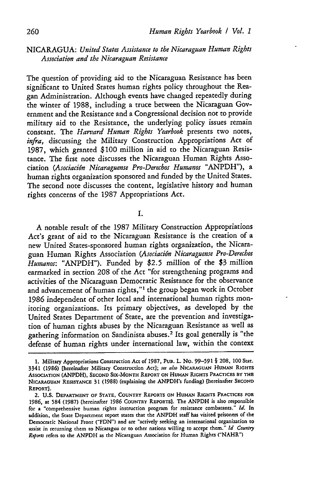## NICARAGUA: *United States Assistance to the Nicaraguan Human Rights Association and the Nicaraguan Resistance*

The question of providing aid to the Nicaraguan Resistance has been significant to United States human rights policy throughout the Reagan Administration. Although events have changed repeatedly during the winter of 1988, including a truce between the Nicaraguan Government and the Resistance and a Congressional decision not to provide military aid to the Resistance, the underlying policy issues remain constant. The *Harvard Human Rights Yearbook* presents two notes, *infra,* discussing the Military Construction Appropriations Act of 1987, which granted \$100 million in aid to the Nicaraguan Resistance. The first note discusses the Nicaraguan Human Rights Association *(Asociacidn Nicaraguense Pro-Derechos Humanos* "ANPDH"), a human rights organization sponsored and funded by the United States. The second note discusses the content, legislative history and human rights concerns of the 1987 Appropriations Act.

I.

A notable result of the 1987 Military Construction Appropriations Act's grant of aid to the Nicaraguan Resistance is the creation of a new United States-sponsored human rights organization, the Nicaraguan Human Rights Association *(Asociaci6n Nicaraguense Pro-Derechos Humanos:* "ANPDH"). Funded by \$2.5 million of the \$3 million earmarked in section 208 of the Act "for strengthening programs and activities of the Nicaraguan Democratic Resistance for the observance and advancement of human rights,"' the group began work in October 1986 independent of other local and international human rights monitoring organizations. Its primary objectives, as developed by the United States Department of State, are the prevention and investigation of human rights abuses by the Nicaraguan Resistance as well as gathering information on Sandinista abuses.2 Its goal generally is "the defense of human rights under international law, within the context

<sup>1.</sup> Military Appropriations Construction Act **of 1987, PUB. L.** No. **99-591** § **208, 100 Stat.** 3341 (1986) [hereinafter Military Construction Act]; *see also* NICARAGUAN *HUMAN* **RIGHTS** ASSOCIATION **(ANPDH), SECOND SIX-MONTH REPORT ON HUMAN RIGHTS** PRACTICES **BY THE** NICARAGUAN RESISTANCE 31 (1988) (explaining the ANPDH's funding) [hereinafter **SECOND** REPORT].

<sup>2.</sup> **U.S. DEPARTMENT OF STATE, COUNTRY REPORTS ON HUMAN RIGHTS** PRACTICES **FOR 1986,** at 584 **(1987)** (hereinafter **1986 COUNTRY REPORTS].** The **ANPDH** is also responsible for a "comprehensive human rights instruction program for resistance combatants." *Id.* In addition, the State Department report states that the **ANPDH** staff has visited prisoners of the Democratic National Front **("FDN")** and are "actively seeking an international organization **to** assist in returning them to Nicaragua or to other nations willing to accept them." *Id Country Reports* refers to the **ANPDH** as the Nicaraguan Association for Human Rights ("NAHR")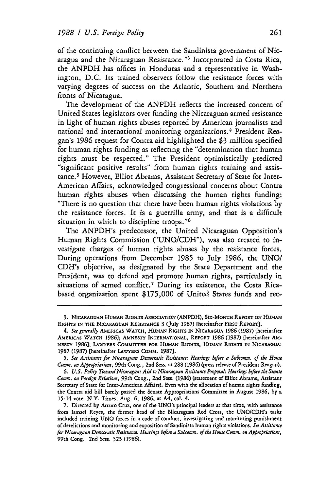of the continuing conflict between the Sandinista government of Nicaragua and the Nicaraguan Resistance."<sup>3</sup> Incorporated in Costa Rica, the ANPDH has offices in Honduras and a representative in Washington, D.C. Its trained observers follow the resistance forces with varying degrees of success on the Atlantic, Southern and Northern fronts of Nicaragua.

The development of the ANPDH reflects the increased concern of United States legislators over funding the Nicaraguan armed resistance in light of human rights abuses reported by American journalists and national and international monitoring organizations. 4 President Reagan's **1986** request for Contra aid highlighted the \$3 million specified for human rights funding as reflecting the "determination that human rights must be respected." The President optimistically predicted "significant positive results" from human rights training and assistance.<sup>5</sup> However, Elliot Abrams, Assistant Secretary of State for Inter-American Affairs, acknowledged congressional concerns about Contra human rights abuses when discussing the human rights funding: "There is no question that there have been human rights violations by the resistance forces. It is a guerrilla army, and that is a difficult situation in which to discipline troops."<sup>6</sup>

The ANPDH's predecessor, the United Nicaraguan Opposition's Human Rights Commission ("UNO/CDH"), was also created to investigate charges of human rights abuses by the resistance forces. During operations from December 1985 to July **1986,** the UNO/ CDH's objective, as designated by the State Department and the President, was to defend and promote human rights, particularly in situations of armed conflict.<sup>7</sup> During its existence, the Costa Ricabased organization spent \$175,000 of United States funds and rec-

<sup>3.</sup> NICARAGUAN HUMAN **RIGHTS** ASSOCIATION **(ANPDH), SIX-MONTH** REPORT **ON** HUMAN **RIGHTS IN THE** NICARAGUAN RESISTANCE 3 (July **1987)** [hereinafter FIRST **REPORT].**

*<sup>4.</sup> See generally* AMERICAS **WATCH, HUMAN** RIGHTS **IN NICARAGUA 1986 (1987)** [hereinafter AMEICAs WATCH **1986];** *AMNESTY* **INTERNATIONAL, REPORT** 1986 (1987) **[hereinafter Am-NESTY** 1986]; LAWYERS **COMMITTEE FOR** HUMAN RIGHTS, **HUMAN** RIGHTS IN **NICARAGUA:** 1987 (1987) [hereinafter **LAYER COMM.** 1987].

*<sup>5.</sup> See Assistance for Nicaraguan Democratic Resistance: Hearings before a Subcomm. of the House Comm. on Appropriations,* 99th Cong., 2nd Seas. at 288 (1986) (press release of President Reagan).

*<sup>6.</sup> U.S. Policy Toward Nicaragua: Aid to Nicaraguan Resistance Proposal: Hearings before the Senate Comm. on Foreign Relations,* **99th** Cong., 2nd Sess. (1986) (statement of Elliot Abrams, Assistant Secretary of State for Inter-American Affairs). Even with the allocation of human rights funding, the Contra aid bill barely passed the Senate Appropriations Committee in August **1986, by** a 15-14 vote. N.Y. Times, Aug. **6, 1986,** at A4, col. 4.

**<sup>7.</sup>** Directed **by** Arturo Cruz, one of the UNO's principal leaders at that time, with assistance from Ismael Reyes, the former head of the Nicaraguan Red Cross, the UNO/CDH's tasks included training UNO forces in a code of conduct, investigating and monitoring punishment of derelictions and monitoring and exposition of Sandinista human rights violations. *See Assistance for Nicaraguan Democratic Resistance. Hearings before a Subcomm. of the House Comm.* **on** *Appropriations,* **99th** Cong. 2nd Sess. 323 (1986).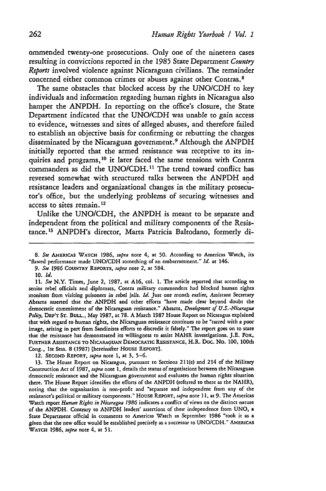ommended twenty-one prosecutions. Only one of the nineteen cases resulting in convictions reported in the **1985** State Department *Country Reports* involved violence against Nicaraguan civilians. The remainder concerned either common crimes or abuses against other Contras. <sup>8</sup>

The same obstacles that blocked access **by** the **UNO/CDH** to key individuals and information regarding human rights in Nicaragua also hamper the **ANPDH.** In reporting on the office's closure, the State Department indicated that the **UNO/CDH** was unable to gain access to evidence, witnesses and sites of alleged abuses, and therefore failed to establish an objective basis for confirming or rebutting the charges disseminated **by** the Nicaraguan government. 9 Although the **ANPDH** initially reported that the armed resistance was receptive to its inquiries and programs, 10 it later faced the same tensions with Contra commanders as did the **UNO/CDH. <sup>11</sup>**The trend toward conflict has reyersed somewhat with structured talks between the **ANPDH** and resistance leaders and organizational changes in the military prosecutor's office, but the underlying problems of securing witnesses and access to sites remain.<sup>12</sup>

Unlike the **UNO/CDH,** the **ANPDH** is meant to be separate and independent from the political and military components of the Resistance.<sup>13</sup> ANPDH's director, Marta Patricia Baltodano, formerly di-

12. SEcoND REPORT, *supra* note **1,** at **3, 5-6.**

13. The House Report on Nicaragua, pursuant to Sections 211(e) and 214 of the Military Construction Act of **1987,** *supra* note **1,** details the status of negotiations between the Nicaraguan democratic resistance and the Nicaraguan government and evaluates the human rights situation there. The House Report identifies the efforts of the ANPDH (referred to there as the NAHR), noting that the organization is non-profit and "separate and independent from any of the resistance's political or military components." HOUSE REPORT, *supra* note **11.** at **9.** The Americas Watch report *Human Right in Nicaragua 1986* indicates a conflict of views on the distinct nature of the ANPDH. Contrary to ANPDH leaders' assertions of their independence from UNO, a State Department official in comments to Americas Watch in September **1986** "took it as a given that the new office would be established precisely as a successor to UNO/CDH." AMERICAS WATCH **1986,** *supra* note 4, at **51.**

**<sup>8.</sup>** *See* AMERIcAS WATCH **1986,** *supra* note 4, at **50.** According to Americas Watch, its "flawed performance made UNO/CDH something of an embarrassment." *Id.* at 146.

*<sup>9.</sup> See* **1986** *COUNTRY* REPORTS, *supra* note 2, at 584.

**<sup>10.</sup>** *Id.*

*li. See* N.Y. Times, June 2, 1987, at A16, col. 1. The article reported that according to senior rebel officials and diplomats, Contra military commanders had blocked human rights monitors from *visiting* prisoners *in* rebel *jails. Id. Just* one month earlier, Assistant *Secretary* Abrams asserted that the ANPDH and other efforts "have made clear beyond doubt the democratic commitment of the Nicaraguan resistance." Abrams, *Development of U.S. -Nicaragua Policy,* DEP'T ST. BULL., May 1987, at 78. A March 1987 House Report on Nicaragua explained that with regard to human rights, the Nicaraguan resistance continues to be "tarred with a poor image, arising in part from Sandinista efforts to discredit it falsely." The report goes on to state that the resistance has demonstrated its willingness to assist NAHR investigations. J.E. Fox, FURTHER ASSISTANCE TO NICARAGUAN DEMoCRATIC **RESISTANCE,** H.R. Doc. No. 100, 100th Cong., Ist Sess. 8 (1987) [hereinafter HOUSE REPORT].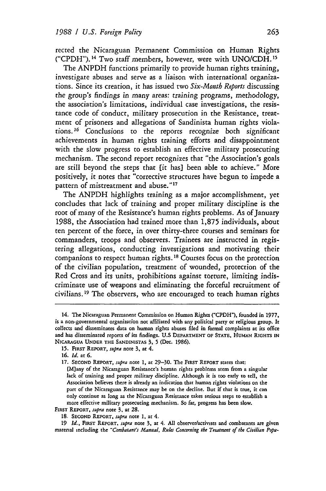rected the Nicaraguan Permanent Commission on Human Rights ("CPDH"). 1 4 Two staff members, however, were with UNO/CDH. **<sup>15</sup>**

The ANPDH functions primarily to provide human rights training, investigate abuses and serve as a liaison with international organizations. Since its creation, it has issued two *Six-Month Reports* discussing the group's findings in many areas: training programs, methodology, the association's limitations, individual case investigations, the resistance code of conduct, military prosecution in the Resistance, treatment of prisoners and allegations of Sandinista human rights violations. 16 Conclusions to the reports recognize both significant achievements in human rights training efforts and disappointment with the slow progress to establish an effective military prosecuting mechanism. The second report recognizes that "the Association's goals are still beyond the steps that (it has] been able to achieve." More positively, it notes that "corrective structures have begun to impede a pattern of mistreatment and abuse."<sup>17</sup>

The ANPDH highlights training as a major accomplishment, yet concludes that lack of training and proper military discipline is the root of many of the Resistance's human rights problems. As of January 1988, the Association had trained more than **1,875** individuals, about ten percent of the force, in over thirty-three courses and seminars for commanders, troops and observers. Trainees are instructed in registering allegations, conducting investigations and motivating their companions to respect human rights. **' <sup>8</sup>**Courses focus on the protection of the civilian population, treatment of wounded, protection of the Red Cross and its units, prohibitions against torture, limiting indiscriminate use of weapons and eliminating the forceful recruitment of civilians.<sup>19</sup> The observers, who are encouraged to teach human rights

**15. FIRST** REPORT, *supra* note **3,** at 4.

**FIRST** REPORT, *supra* note 3, at 28.

**19** *Id.,* **FIRST REPORT.** *supra* note **3,** at 4. **All** observer/activists and combatants are given material including the *"Combatant'i Manual, Ru/es Concerning the Treatment of the Civilian Popu-*

<sup>14.</sup> **The** Nicaraguan Permanent Commission on Human Rights (CPDH"), founded in **1977,** is a non-governmental organization not affiliated with any political party or religious group. **It** collects and disseminates data on human rights abuses filed in formal complaints at its office and has disseminated reports of its findings. **U.S DEPARTMENT OF STATE, HUMAN RIGHTS IN NICARAGUA UNDER THE SANDINISTAS** 3, 5 (Dec. 1986).

**<sup>16.</sup>** *Id.* at **6.**

**<sup>17.</sup> SECOND REPORT,** *supra* note 1, at 29-30. The FIRST **REPORT** states that: [M]any of the Nicaraguan Resistance's human rights problems stem from a singular lack of training and proper military discipline. Although it is too early to tell, the Association believes there is already an indication that human rights violations on the part of the Nicaraguan Resistance may be on the decline. But if that is true, it can only continue as long as the Nicaraguan Resistance takes serious steps to establish a more effective military prosecuting mechanism. So far, progress has been slow.

<sup>18.</sup> **SECOND REPORT,** *supra* note 1, at 4.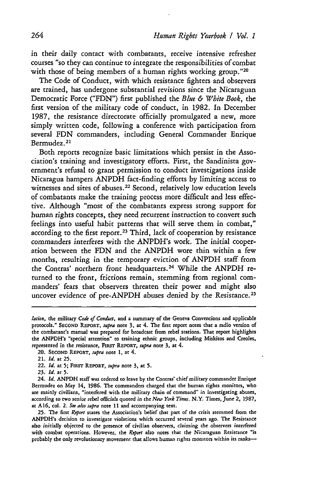in their daily contact with combatants, receive intensive refresher courses "so they can continue to integrate the responsibilities of combat with those of being members of a human rights working group."20

The Code of Conduct, with which resistance fighters and observers are trained, has undergone substantial revisions since the Nicaraguan Democratic Force ("FDN") first published the *Blue & White Book,* the first version of the military code of conduct, in 1982. In December 1987, the resistance directorate officially promulgated a new, more simply written code, following a conference with participation from several **FDN** commanders, including General Commander Enrique Bermudez. <sup>21</sup>

Both reports recognize basic limitations which persist in the Association's training and investigatory efforts. First, the Sandinista government's refusal to grant permission to conduct investigations inside Nicaragua hampers ANPDH fact-finding efforts by limiting access to witnesses and sites of abuses.<sup>22</sup> Second, relatively low education levels of combatants make the training process more difficult and less effective. Although "most of the combatants express strong support for human rights concepts, they need recurrent instruction to convert such feelings into useful habit patterns that will serve them in combat," according to the first report.<sup>23</sup> Third, lack of cooperation by resistance commanders interferes with the ANPDH's work. The initial cooperation between the **FDN** and the ANPDH wore thin within a few months, resulting in the temporary eviction of ANPDH staff from the Contras' northern front headquarters. 24 While the **ANPDH** returned to the front, frictions remain, stemming from regional commanders' fears that observers threaten their power and might also uncover evidence of pre-ANPDH abuses denied by the Resistance.<sup>25</sup>

- 20. SECOND **REPORT,** *supra* note **1,** at 4.
- 21. *Id.* at 25.
- 22. *Id.* at **5; FIRsT REPORT,** *rupra* note 3, at 5.
- *23. Id.* **at** 5.

24. *Id.* ANPDH staff was ordered to leave by the Contras' chief military commander Enrique Bermudez on May 14, **1986.** The commanders charged that the human rights monitors, who are mainly civilians, "interfered with the military chain of command" in investigating abuses, according to two senior rebel *officials* quoted in the *New York Time.* N.Y. Times, June 2, 1987, at **A16,** col. 2. *See also supra* note 11 and accompanying text.

**25.** The first *Report* states the Association's belief that part of the crisis stemmed from the ANPDH's decision to investigate violations which occurred several years ago. The Resistance also initially objected to the presence of civilian observers, *claiming* the observers interfered with combat operations. However, the *Report* also notes that the Nicaraguan Resistance "is probably the only revolutionary movement that allows human rights monitors within its ranks-

*lation,* the military *Code of Conduct,* and a summary of the Geneva Conventions and applicable protocols." **SECOND REPORT,** *supra* note **3,** at 4. The first report notes that a radio version of the combatant's manual was prepared for broadcast from rebel stations. That report highlights the ANPDH's "special attention" to training ethnic groups, including Miskitos and Creoles, represented in the resistance, FIRST REPORT, *supra* note 3, at 4.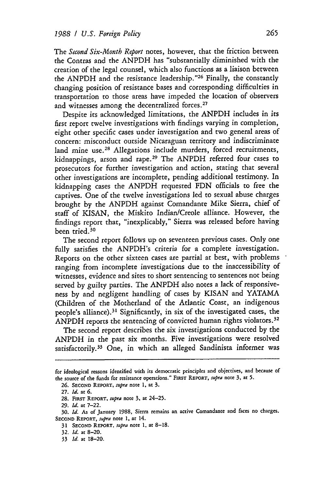The *Second Six-Month Report* notes, however, that the friction between the Contras and the ANPDH has "substantially diminished with the creation of the legal counsel, which also functions as a liaison between the ANPDH and the resistance leadership."<sup>26</sup> Finally, the constantly changing position of resistance bases and corresponding difficulties in transportation to those areas have impeded the location of observers and witnesses among the decentralized forces.<sup>27</sup>

Despite its acknowledged limitations, the ANPDH includes in its first report twelve investigations with findings varying in completion, eight other specific cases under investigation and two general areas of concern: misconduct outside Nicaraguan territory and indiscriminate land mine use.<sup>28</sup> Allegations include murders, forced recruitments, kidnappings, arson and rape. 29 The ANPDH referred four cases to prosecutors for further investigation and action, stating that several other investigations are incomplete, pending additional testimony. In kidnapping cases the ANPDH requested **FDN** officials to free the captives. One of the twelve investigations led to sexual abuse charges brought by the ANPDH against Comandante Mike Sierra, chief of staff of KISAN, the Miskito Indian/Creole alliance. However, the findings report that, "inexplicably," Sierra was released before having been tried. <sup>30</sup>

The second report follows up on seventeen previous cases. Only one fully satisfies the ANPDH's criteria for a complete investigation. Reports on the other sixteen cases are partial at best, with problems ranging from incomplete investigations due to the inaccessibility of witnesses, evidence and sites to short sentencing to sentences not being served by guilty parties. The ANPDH also notes a lack of responsiveness by and negligent handling of cases by KISAN and YATAMA (Children of the Motherland of the Atlantic Coast, an indigenous people's alliance). 31 Significantly, in six of the investigated cases, the ANPDH reports the sentencing of convicted human rights violators.<sup>32</sup>

The second report describes the six investigations conducted by the ANPDH in the past six months. Five investigations were resolved satisfactorily.<sup>33</sup> One, in which an alleged Sandinista informer was

29. *id.* at 7-22.

for ideological reasons identified with its democratic principles and objectives, and because of the source of the funds for resistance operations." **FIRST REPORT,** *supra* note **3,** at 5.

**<sup>26.</sup> SECOND REPORT,** *supra* note **1,** at **3.**

**<sup>27.</sup>** *Id.* at **6.**

<sup>28.</sup> **FIRsT** REPORT, *supra* note **3,** at 24-25.

**<sup>30.</sup>** *Id. As* of January 1988, Sierra remains an active Comandante and faces no charges. **SECOND** REPORT, *supra* note 1, at 14.

<sup>31</sup> **SECOND REPORT,** *supra* note **1,** at 8-18.

<sup>32.</sup> *Id.* at 8-20.

<sup>33</sup> *Id.* at 18-20.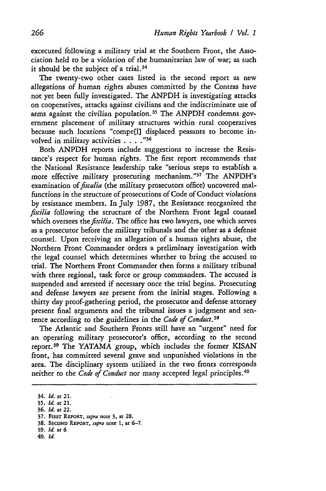excecuted following a military trial at the Southern Front, the Association held to be a violation of the humanitarian law of war; as such it should be the subject of a trial.<sup>34</sup>

The twenty-two other cases listed in the second report as new allegations of human rights abuses committed by the Contras have not yet been fully investigated. The ANPDH is investigating attacks on cooperatives, attacks against civilians and the indiscriminate use of arms against the civilian population.<sup>35</sup> The ANPDH condemns government placement of military structures within rural cooperatives because such locations "compe[l] displaced peasants to become involved in military activities . . . . "<sup>36</sup>

Both ANPDH reports include suggestions to increase the Resistance's respect for human rights. The first report recommends that the National Resistance leadership take "serious steps to establish a more effective military prosecuting mechanism."37 The ANPDH's examination of *fiscalia* (the military prosecutors office) uncovered malfunctions in the structure of prosecutions of Code of Conduct violations by resistance members. In July 1987, the Resistance reorganized the *fiscilia* following the structure of the Northern Front legal counsel which oversees the *fiscilia*. The office has two lawyers, one which serves as a prosecutor before the military tribunals and the other as a defense counsel. Upon receiving an allegation of a human rights abuse, the Northern Front Commander orders a preliminary investigation with the legal counsel which determines whether to bring the accused to trial. The Northern Front Commander then forms a military tribunal with three regional, task force or group commanders. The accused is suspended and arrested if necessary once the trial begins. Prosecuting and defense lawyers are present from the initial stages. Following a thirty day proof-gathering period, the prosecutor and defense attorney present final arguments and the tribunal issues a judgment and sentence according to the guidelines in the *Code of Conduct.<sup>38</sup>*

The Atlantic and Southern Fronts still have an "urgent" need for an operating military prosecutor's office, according to the second report.<sup>39</sup> The YATAMA group, which includes the former KISAN front, has committed several grave and unpunished violations in the area. The disciplinary system utilized in the two fronts corresponds neither to the *Code of Conduct* nor many accepted legal principles.<sup>40</sup>

- **39.** *Id.* **at 6**
- 40. *Id.*

<sup>34.</sup> *Id.* **at** 21.

<sup>35.</sup> *Id.* **at** 21.

**<sup>36.</sup>** *Id.* **at** 22.

**<sup>37.</sup> FIRST REPORT,** *supra* note **3, at 28.**

<sup>38.</sup> **SECOND** REPORT, *iupra* note **1, at 6-7.**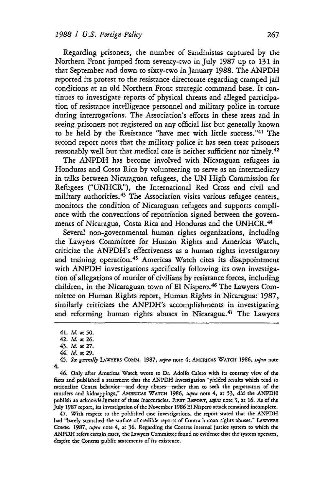Regarding prisoners, the number of Sandinistas captured by the Northern Front jumped from seventy-two in July 1987 up to 131 in that September and down to sixty-two in January 1988. The ANPDH reported its protest to the resistance directorate regarding cramped jail conditions at an old Northern Front strategic command base. It continues to investigate reports of physical threats and alleged participation of resistance intelligence personnel and military police in torture during interrogations. The Association's efforts in these areas and in seeing prisoners not registered on any official list but generally known to be held by the Resistance "have met with little success."41 The second report notes that the military police it has seen treat prisoners reasonably well but that medical care is neither sufficient nor timely.<sup>42</sup>

The ANPDH has become involved with Nicaraguan refugees in Honduras and Costa Rica by volunteering to serve as an intermediary in talks between Nicaraguan refugees, the **UN** High Commission for Refugees ("UNHCR"), the International Red Cross and civil and military authorities. 43 The Association visits various refugee centers, monitors the condition of Nicaraguan refugees and supports compliance with the conventions of repatriation signed between the governments of Nicaragua, Costa Rica and Honduras and the UNHCR.<sup>44</sup>

Several non-governmental human rights organizations, including the Lawyers Committee for Human Rights and Americas Watch, criticize the ANPDH's effectiveness as a human rights investigatory and training operation.<sup>45</sup> Americas Watch cites its disappointment with ANPDH investigations specifically following its own investigation of allegations of murder of civilians by resistance forces, including children, in the Nicaraguan town of El Nispero. 46 The Lawyers Committee on Human Rights report, Human Rights in Nicaragua: **1987,** similarly criticizes the ANPDH's accomplishments in investigating and reforming human rights abuses in Nicaragua.<sup>47</sup> The Lawyers

46. Only after Americas Watch wrote to Dr. Adolfo Calero with its contrary view of the facts and published a statement that the ANPDH investigation "yielded results which tend to rationalize Contra behavior---and deny abuses---rather than to seek the perpetrators of the murders and kidnappings," **AMERIcAS WATCH 1986,** supra note 4, at 53, did the ANPDH publish an acknowledgment of these inaccuracies. **FiRST REPORT,** smpra note **3,** at **16.** As of the July 1987 report, its investigation of the November **1986 El** Nispero attack remained incomplete.

47. With respect to the published case investigations, the report stated that the ANPDH had "barely scratched the surface of credible reports of Contra human rights abuses." LAWYERS Comm. 1987, supra note 4, at **36.** Regarding the Contras internal justice system to which the ANPDH refers certain cases, the Lawyers Committee found no evidence that the system operates, despite the Contras public statements of its existence.

<sup>41.</sup> *Id.* at **50.**

<sup>42.</sup> *Id.* at **26.**

<sup>43.</sup> *Id.* at **27.** 44. *Id.* at **29.**

<sup>45.</sup> See *generally* **LAWYERS COMM.** 1987, *upra* note 4; AMERICAS **WATCH 1986,** *supra* note 4.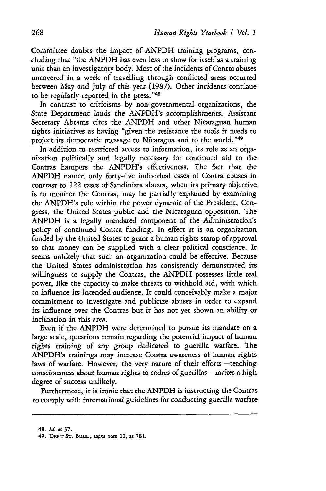Committee doubts the impact of ANPDH training programs, concluding that "the ANPDH has even less to show for itself as a training unit than an investigatory body. Most of the incidents of Contra abuses uncovered in a week of travelling through conflicted areas occurred between May and July of this year (1987). Other incidents continue to be regularly reported in the press."48

In contrast to criticisms by non-governmental organizations, the State Department lauds the ANPDH's accomplishments. Assistant Secretary Abrams cites the ANPDH and other Nicaraguan human rights initiatives as having "given the resistance the tools it needs to project its democratic message to Nicaragua and to the world."<sup>49</sup>

In addition to restricted access to information, its role as an organization politically and legally necessary for continued aid to the Contras hampers the ANPDH's effectiveness. The fact that the ANPDH named only forty-five individual cases of Contra abuses in contrast to 122 cases of Sandinista abuses, when its primary objective is to monitor the Contras, may be partially explained by examining the ANPDH's role within the power dynamic of the President, Congress, the United States public and the Nicaraguan opposition. The ANPDH is a legally mandated component of the Administration's policy of continued Contra funding. In effect it is an organization funded by the United States to grant a human rights stamp of approval so that money can be supplied with a clear political conscience. It seems unlikely that such an organization could be effective. Because the United States administration has consistently demonstrated its willingness to supply the Contras, the ANPDH possesses little real power, like the capacity to make threats to withhold aid, with which to influence its intended audience. It could conceivably make a major commitment to investigate and publicize abuses in order to expand its influence over the Contras but it has not yet shown an ability or inclination in this area.

Even if the ANPDH were determined to pursue its mandate on a large scale, questions remain regarding the potential impact of human rights training of any group dedicated to guerilla warfare. The ANPDH's trainings may increase Contra awareness of human rights laws of warfare. However, the very nature of their efforts-teaching consciousness about human rights to cadres of guerillas-makes a high degree of success unlikely.

Furthermore, it is ironic that the ANPDH is instructing the Contras to comply with international guidelines for conducting guerilla warfare

<sup>48.</sup> *Id.* **at 37.**

<sup>49.</sup> **DEP'T ST.** BuLL., *supra* note **11. at 781.**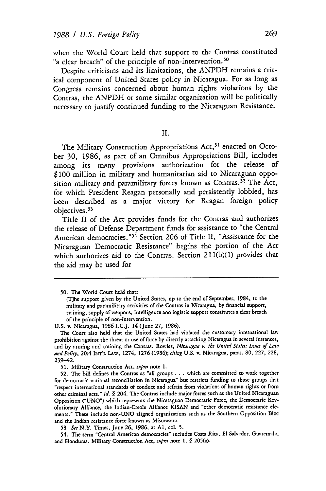when the World Court held that support to the Contras constituted "a clear breach" of the principle of non-intervention.<sup>50</sup>

Despite criticisms and its limitations, the ANPDH remains a critical component of United States policy in Nicaragua. For as long as Congress remains concerned about human rights violations by the Contras, the ANPDH or some similar organization will be politically necessary to justify continued funding to the Nicaraguan Resistance.

## II.

The Military Construction Appropriations Act,<sup>51</sup> enacted on October **30,** 1986, as part of an Omnibus Appropriations Bill, includes among its many provisions authorization for the release of \$100 million in military and humanitarian aid to Nicaraguan opposition military and paramilitary forces known as Contras.<sup>52</sup> The Act, for which President Reagan personally and persistently lobbied, has been described as a major victory for Reagan foreign policy objectives. <sup>53</sup>

Title II of the Act provides funds for the Contras and authorizes the release of Defense Department funds for assistance to "the Central American democracies."<sup>54</sup> Section 206 of Title II, "Assistance for the Nicaraguan Democratic Resistance" begins the portion of the Act which authorizes aid to the Contras. Section 211(b)(1) provides that the aid may be used for

<sup>50.</sup> The World Court held that:

<sup>[</sup>The support given by the United States, up to the end of September, 1984, to the military and paramilitary activities of the Contras in Nicaragua, by financial support, training, supply of weapons, intelligence and logistic support constitutes a clear breach of the principle of non-intervention.

U.S. v. Nicaragua, 1986 I.C.J. 14 (June 27, 1986).

The Court also held that the United States had violated the customary international law prohibition against the threat or use of force by directly attacking Nicaragua in several instances, and by arming and training the Contras. Rowles, *Nicaragua* v. *the United Stare:* Itues *of Law and Policy,* 20:4 **INT'L LAw,** 1274, 1276 **(1986);** *citing* U.S. v. Nicaragua, paras. **80, 227,** 228, 239-42.

<sup>51.</sup> Military Construction Act, *fupra* note 1.

<sup>52.</sup> The bill defines the Contras as "all groups . . . which are committed to work together for democratic national reconciliation in Nicaragua" but restricts funding to those groups that "respect international standards of conduct and refrain from violations of human rights or from other criminal acts." *Id. §* 204. The Contras include major forces such as the United Nicaraguan Opposition ("UNO") which represents the Nicaraguan Democratic Force, the Democratic Revolutionary Alliance, the Indian-Creole Alliance KISAN and "other democratic resistance elements." These include non-UNO aligned organizations such as the Southern Opposition Bloc and the Indian resistance force known as Misurasata.

**<sup>53</sup>** *See* N.Y. Times, June **26, 1986,** at **Al.** col. 5.

<sup>54.</sup> The term "Central American democracies" includes Costa Rica, El Salvador, Guatemala, and Honduras. Military Construction Act, supra note **1,** *§* 205(a).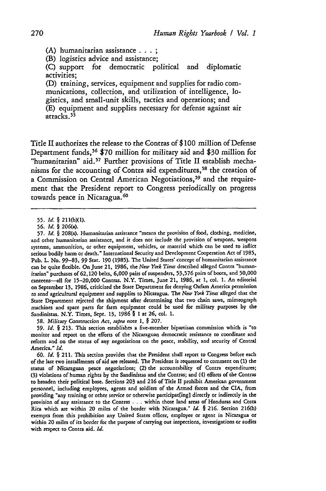**(A)** humanitarian assistance... **;**

(B) logistics advice and assistance;

**(C)** support for democratic political and diplomatic activities;

**(D)** training, services, equipment and supplies for radio communications, collection, and utilization of intelligence, logistics, and small-unit skills, tactics and operations; and **(E)** equipment and supplies necessary for defense against air attacks.<sup>55</sup>

Title II authorizes the release to the Contras of **\$ 100** million of Defense Department funds,<sup>56</sup> \$70 million for military aid and \$30 million for "humanitarian" aid.<sup>57</sup> Further provisions of Title II establish mechanisms for the accounting of Contra aid expenditures,<sup>58</sup> the creation of a Commission on Central American Negotiations,<sup>59</sup> and the requirement that the President report to Congress periodically on progress towards peace in Nicaragua.<sup>60</sup>

58. Military Construction *Act, stipra* note **1,** *§* 207.

**59.** *Id. §* 213. This section establishes a five-member bipartisan commission which is "to monitor and report on the efforts of the Nicaraguan democratic resistance to coordinate and reform and on the status of any negotiations on the peace, stability, and security of Central America." *Id.*

**60.** *Id. §* 211. This section provides that the President shall report to Congress before each of the last two installments of aid are released. The President is requested to comment on (1) the status of Nicaraguan peace negotiations; (2) the accountability of Contra expenditures; (3) violations of human rights **by** the Sandinistas and the Contras; and (4) efforts of the Contras to broaden their political base. Sections **203** and **216** of Title II prohibit American government personnel, including employees, agents and soldiers of the Armed forces and the CIA, from providing "any training or other service or otherwise participat[ing] directly or indirectly in the provision of any assistance to the Contras **.** *.* **.** within those land areas of Honduras and Costa Rica which are within 20 miles of the border with Nicaragua." *Id. §* 216. Section 216(b) exempts from this prohibition any United States officer, employee or agent in Nicaragua or within 20 miles of its border for the purpose of carrying out inspections, investigations or audits with respect to Contra aid. *Id.*

**<sup>55.</sup>** *Id. §* 211(bXl).

**<sup>56.</sup>** *Id. §* 206(a).

<sup>57.</sup> *Id. §* 208(a). Humanitarian assistance "means the provision of food, clothing, medicine, and other humanitarian assistance, and it does not include the provision of weapons, weapons systems, ammunition, or other equipment, vehicles, or material which can be used to inflict serious bodily harm or death." International Security and Development Cooperation Act of 1985, Pub. L. No. 99-83, **99** Star. **190** (1985). The United States' concept of humanitarian assistance can be quite flexible. On June **21, 1986,** the *New York Times* described alleged Contra "humanitarian" purchases of **62,120** belts, **6,000** pairs of suspenders, 53,576 pairs of boots, and **50,000** canteens-All for **15-20,000** Contras. N.Y. Times, June 21, **1986,** at **1,** col. **1.** An editorial on September 13, **1986,** criticized the State Department for denying Oxfam America permission to send agricultural equipment and supplies to Nicaragua. The *New York Times* alleged that the State Department rejected the shipment after determining that two chain saws, mimeograph machines and spare parts for farm equipment could be used for military purposes by the Sandinistas. N.Y. Times, Sept. 13, 1986 *§* **I** at **26,** col. 1.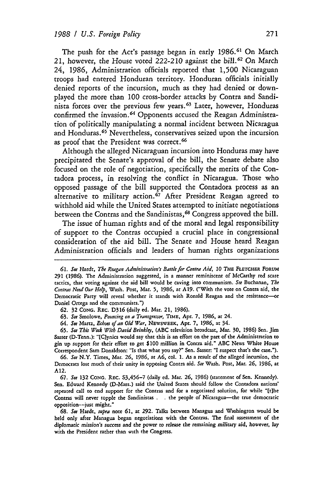The push for the Act's passage began in early 1986.<sup>61</sup> On March 21, however, the House voted 222-210 against the bill.<sup>62</sup> On March 24, 1986, Administration officials reported that 1,500 Nicaraguan troops had entered Honduran territory. Honduran officials initially denied reports of the incursion, much as they had denied or downplayed the more than 100 cross-border attacks by Contra and Sandinista forces over the previous few years.<sup>63</sup> Later, however, Honduras confirmed the invasion.<sup>64</sup> Opponents accused the Reagan Administration of politically manipulating a normal incident between Nicaragua and Honduras.<sup>65</sup> Nevertheless, conservatives seized upon the incursion as proof that the President was correct.<sup>66</sup>

Although the alleged Nicaraguan incursion into Honduras may have precipitated the Senate's approval of the bill, the Senate debate also focused on the role of negotiation, specifically the merits of the Contadora process, in resolving the conflict in Nicaragua. Those who opposed passage of the bill supported the Contadora process as an alternative to military action.<sup>67</sup> After President Reagan agreed to withhold aid while the United States attempted to initiate negotiations between the Contras and the Sandinistas,<sup>68</sup> Congress approved the bill.

The issue of human rights and of the moral and legal responsibility of support to the Contras occupied a crucial place in congressional consideration of the aid bill. The Senate and House heard Reagan Administration officials and leaders of human rights organizations

**65.** *See This Week With David Brinkley,* (ABC television broadcast, Mar. **30, 1986)** Sen. Jim Sasser (D-Tenn.): "[Cjynics would say that this is an effort on the part of the Administration to gin up support for their effort to get \$100 million in Contra aid." ABC News White House Correspondent Sam Donaldson: "Is that what you say?" Sen. Sasser: "I suspect that's the case.").

**66.** *See* N.Y. Times, Mar. **26, 1986,** at **A6,** col. 1. As a result of the alleged incursion, the Democrats lost much of their unity in opposing Contra aid. *See* Wash. Post, Mar. **26, 1986,** at A12.

**67.** *See* 132 **CONG.** REc. S3,456-7 (daily ed. Mar. **26,** 1986) (statement of Sen. Kennedy). Sen. Edward Kennedy (D-Mass.) said the United States should follow the Contadora nations' repeated call to end support for the Contras and for a negotiated solution, for while "[t]he Contras will never topple the Sandinistas . . the people of Nicaragua-the true democratic opposition-just might."

**68.** *See* Hardt, supra note **61,** at 292. Talks between Managua and Washington would be held only after Managua began negotiations with the Contras. The final assessment of the *diplomatic mission's success* and the power to release the *remaining military* aid, however, *lay* with the President rather than with the Congress.

**<sup>61.</sup>** *See* Hardr, *The Reagan Administration's Battle for Contra Aid, 10 T-i* **FLETcHER FORUM 291** (1986). The Administration suggested, in a manner reminiscent of McCarthy red scare tactics, that voting against the aid bill would be caving into communism. See Buchanan, *The Contras Need* Our *Help,* Wash. Post, Mar. 5, **1986,** at A19. ("With the vote on Contra aid, the Democratic Party will reveal whether it stands with Ronald Reagan and the resistance-or Daniel Ortega and the communists.")

**<sup>62.</sup>** 32 **CONG.** REc. D316 (daily ed. Mar. 21, 1986).

**<sup>63.</sup>** *See* Smolowe, *Pouncing on a Transgressor,* TiME, Apr. **7, 1986,** at 24.

<sup>64.</sup> *See* Martz, *Echoes of an Old War,* **NEWSWEEK,** Apr. **7,** 1986, at 34.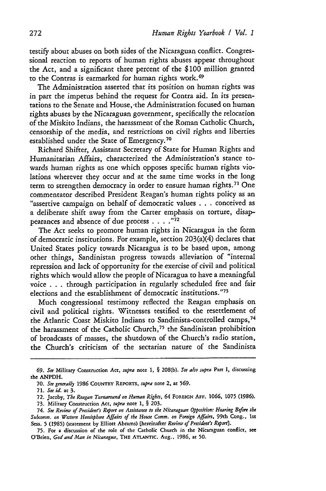testify about abuses on both sides of the Nicaraguan conflict. Congressional reaction to reports of human rights abuses appear throughout the Act, and a significant three percent of the \$100 million granted to the Contras is earmarked for human rights work. <sup>69</sup>

The Administration asserted that its position on human rights was in part the impetus behind the request for Contra aid. In its presentations to the Senate and House, -the Administration focused on human rights abuses by the Nicaraguan government, specifically the relocation of the Miskito Indians, the harassment of the Roman Catholic Church, censorship of the media, and restrictions on civil rights and liberties established under the State of Emergency.<sup>70</sup>

Richard Shifter, Assistant Secretary of State for Human Rights and Humanitarian Affairs, characterized the Administration's stance towards human rights as one which opposes specific human rights violations wherever they occur and at the same time works in the long term to strengthen democracy in order to ensure human rights. 71 One commentator described President Reagan's human rights policy as an "assertive campaign on behalf of democratic values . . **.** conceived as a deliberate shift away from the Carter emphasis on torture, disappearances and absence of due process **.... 72**

The Act seeks to promote human rights in Nicaragua in the form of democratic institutions. For example, section 203(a)(4 ) declares that United States policy towards Nicaragua is to be based upon, among other things, Sandinistan progress towards alleviation of "internal repression and lack of opportunity for the exercise of civil and political rights which would allow the people of Nicaragua to have a meaningful voice . . . through participation in regularly scheduled free and fair elections and the establishment of democratic institutions."73

Much congressional testimony reflected the Reagan emphasis on civil and political rights. Witnesses testified to the resettlement of the Atlantic Coast Miskito Indians to Sandinista-controlled camps,<sup>74</sup> the harassment of the Catholic Church,<sup>75</sup> the Sandinistan prohibition of broadcasts of masses, the shutdown of the Church's radio station, the Church's criticism of the sectarian nature of the Sandinista

*<sup>69.</sup> See* Military Construction Act, *supra* note **1,** § 208(b). *See also supra* Part **I,** discussing the ANPDH.

**<sup>70.</sup>** *See generally* 1986 **COUNTRY REPORTS,** *supra* note 2, at **569.**

<sup>71.</sup> *See id.* **at** 3.

<sup>72.</sup> **Jacoby,** *The Reagan Turnaround on Human Rights,* 64 **FOREIGN AFF. 1066,** 1075 (1986).

<sup>73.</sup> Military Construction *Act, supra* note 1, § 203.

*<sup>74.</sup> See Review of President's Report on Assistance to the Nicaraguan Opposition: Hearing Before the Subcomm. on Western Hemisphere Affairs of the House Comm. on Foreign Affairs,* 99th Cong., 1st Sess. 5 (1985) (statement by Elliott Abrams) [hereinafter *Review of President's Report].*

<sup>75.</sup> For a discussion of the role of the Catholic Church in the Nicaraguan conflict, see O'Brien, *God and Man in Nicaragua,* **THE ATLANTIC.** Aug.. **1986,** at **50.**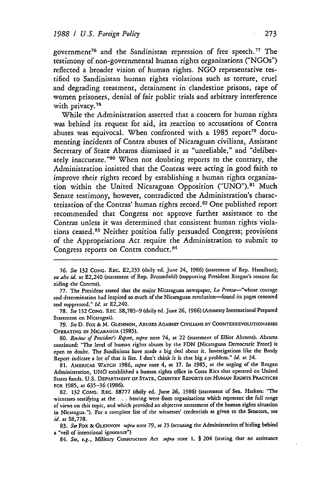government<sup>76</sup> and the Sandinistan repression of free speech.<sup>77</sup> The testimony of non-governmental human rights organizations ("NGOs") reflected a broader vision of human rights. NGO representative testified to Sandinistan human rights violations such as torture, cruel and degrading treatment, detainment in clandestine prisons, rape of women prisoners, denial of fair public trials and arbitrary interference with privacy.<sup>78</sup>

While the Administration asserted that a concern for human rights was behind its request for aid, its reaction to accusations of Contra abuses was equivocal. When confronted with a 1985 report<sup>79</sup> documenting incidents of Contra abuses of Nicaraguan civilians, Assistant Secretary of State Abrams dismissed it as "unreliable," and "deliberately inaccurate."<sup>80</sup> When not doubting reports to the contrary, the Administration insisted that the Contras were acting in good faith to improve their rights record by establishing a human rights organization within the United Nicaraguan Opposition ("UNO").<sup>81</sup> Much Senate testimony, however, contradicted the Administration's characterization of the Contras' human rights record.<sup>82</sup> One published report recommended that Congress not approve further assistance to the Contras unless it was determined that consistent human rights violations ceased.<sup>83</sup> Neither position fully persuaded Congress; provisions of the Appropriations Act require the Administration to submit to Congress reports on Contra conduct.<sup>84</sup>

78. *See* **132** CONG. REC. S8,783-9 (daily ed. June **26, 1986)** (Amnesty International Prepared Statement on Nicaragua).

**79.** *See* **D.** Fox & *M.* **GLENNON,** ABUSES AGAINST **CIVILIANS** BY COUNTERREVOLUTIONARIES OPERATING IN NICARAGUA (1985).

**80.** *Review of President's Report, supra* note 74, at 22 (statement of Elliot Abrams). Abrams continued: "The level of human rights abuses by the **FDN** [Nicaraguan Democratic Front] is open to doubt. The Sandinistas have made a big deal about it. Investigations like the Brody Report indicate a lot of that is lies. I don't think it is that big a problem." *Id.* at 34.

**81.** AMERICAS WATCH **1986,** *supra* note 4, at 17. In **1985,** at the urging of the Reagan Administration, **UNO** established a human rights office in Costa Rica that operated on United States funds. **U.S.** DEPARTMENT **OF STATE, COUNTRY** REPORTS **ON HUMAN** RIGHTS PRACTICES FOR **1985,** at **635-36 (1986).**

**82. 132 CONG.** REC. **S8777** (daily ed. June **26, 1986)** (statement of Sen. Harken: "The witnesses testifying at the .**.**.hearing were from organizations which represent the full range of views on this topic, and which provided an objective assessment of the human rights situation in Nicaragua."). For a complete list of the witnesses' credentials as given to the Senators, see *id.* at S8,778.

83. *See* Fox & **GLENNON** *rupra* note **79,** at 23 (accusing the Administration of hiding behind a "veil of intentional ignorance")

84. *See, e.g.,* Military Construction Act *supra* note 1. § **204** (stating that no assistance

**<sup>76.</sup>** *See* 132 **CONG.** REc. E2,235 (daily ed. June 24, 1986) (statement of Rep. Hamilton); *see also id.* at E2,240 (statement of Rep. Broomfield) (supporting President Reagan's reasons for aiding the Contras).

<sup>77.</sup> The President stated that the major Nicaraguan newspaper, *La Prenta-"whose* courage and determination had inspired so much of the Nicaraguan revolution-found its pages censored and suppressed." *Id.* at E2,240.